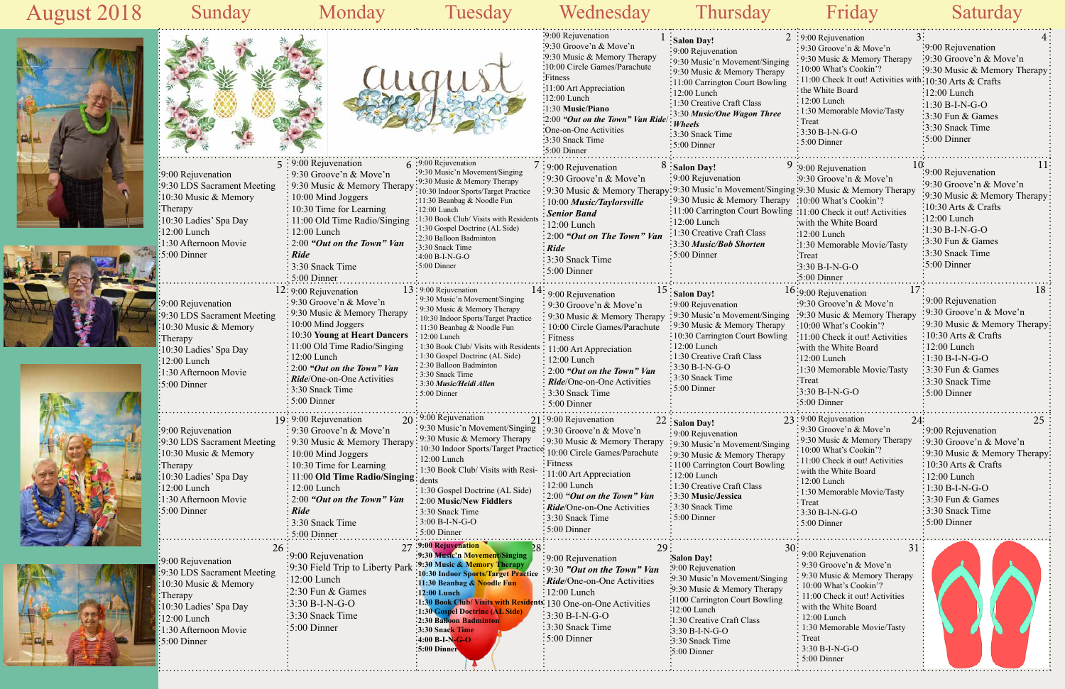## Sunday Monday Tuesday Wednesday Thursday Friday Saturday









## 1:30 Gospel Doctrine (AL Side) 15 Salon Day! 9:00 Rejuvenation : 9:30 Music'n Movement/Singing 9:30 Music & Memory Therapy : 10:30 Carrington Court Bowlin 12:00 Lunch 1:30 Creative Craft Class  $\frac{1}{2}$ 3:30 B-I-N-G-O 3:30 Snack Time 5:00 Dinner 5:00 Dinner 9:00 Rejuvenation 9:30 Groove'n & Move'n 9:30 Music & Memory Therapy 10:00 Circle Games/Parachute 11:00 Art Appreciation 12:00 Lunch 2:00 *"Out on the Town" Van Ride*/One-on-One Activities 3:30 Snack Time



|                            |                                    |                                                               |                                                                                                      | 9:00 Rejuvenation<br>:9:30 Groove'n & Move'n<br>:9:30 Music & Memory Therapy              | Salon Day!<br>:9:00 Rejuvenation<br>:9:30 Music'n Movement/Singing | $2:9:00$ Rejuvenation<br>$\frac{1}{2}$ 9:30 Groove'n & Move'n<br>$\cdot$ 9:30 Music & Memory Therapy | :9:00 Rejuvenation<br>:9:30 Groove'n & Move'n     |
|----------------------------|------------------------------------|---------------------------------------------------------------|------------------------------------------------------------------------------------------------------|-------------------------------------------------------------------------------------------|--------------------------------------------------------------------|------------------------------------------------------------------------------------------------------|---------------------------------------------------|
|                            |                                    |                                                               |                                                                                                      | :10:00 Circle Games/Parachute                                                             | : 9:30 Music & Memory Therapy                                      | : 10:00 What's Cookin'?                                                                              | :9:30 Music & Memory Therapy:                     |
|                            |                                    |                                                               |                                                                                                      | Fitness                                                                                   | :11:00 Carrington Court Bowling                                    | : 11:00 Check It out! Activities with: 10:30 Arts & Crafts                                           |                                                   |
|                            |                                    |                                                               |                                                                                                      | :11:00 Art Appreciation<br>:12:00 Lunch                                                   | $:12:00$ Lunch                                                     | the White Board                                                                                      | $\frac{1}{2}12:00$ Lunch                          |
|                            |                                    |                                                               |                                                                                                      | $:1:30$ Music/Piano                                                                       | :1:30 Creative Craft Class                                         | $\frac{1}{2}$ 12:00 Lunch                                                                            | $-1:30 B-I-N-G-O$                                 |
|                            |                                    |                                                               |                                                                                                      | 2:00 "Out on the Town" Van Ride                                                           | :3:30 Music/One Wagon Three                                        | : 1:30 Memorable Movie/Tasty<br>$:$ Treat                                                            | $\frac{1}{2}$ 3:30 Fun & Games                    |
|                            |                                    |                                                               |                                                                                                      | :One-on-One Activities                                                                    | : Wheels                                                           | $\frac{1}{2}$ 3:30 B-I-N-G-O                                                                         | 3:30 Snack Time                                   |
|                            |                                    |                                                               |                                                                                                      | :3:30 Snack Time                                                                          | :3:30 Snack Time<br>$:5:00$ Dinner                                 | $\frac{1}{2}$ 5:00 Dinner                                                                            | $\frac{1}{2}$ 5:00 Dinner                         |
|                            |                                    |                                                               |                                                                                                      | $:5:00$ Dinner                                                                            |                                                                    |                                                                                                      |                                                   |
|                            |                                    | $5:9:00$ Rejuvenation                                         | $6:9:00$ Rejuvenation                                                                                | :9:00 Rejuvenation                                                                        | $8:$ Salon Day!                                                    | 9:00 Rejuvenation                                                                                    |                                                   |
|                            | :9:00 Rejuvenation                 | $\frac{1}{2}$ 9:30 Groove'n & Move'n                          | :9:30 Music'n Movement/Singing<br>:9:30 Music & Memory Therapy                                       | :9:30 Groove'n & Move'n                                                                   | :9:00 Rejuvenation                                                 | :9:30 Groove'n & Move'n                                                                              | :9:00 Rejuvenation                                |
|                            | :9:30 LDS Sacrament Meeting        | : 9:30 Music & Memory Therapy                                 | 10:30 Indoor Sports/Target Practice                                                                  | : 9:30 Music & Memory Therapy: 9:30 Music'n Movement/Singing: 9:30 Music & Memory Therapy |                                                                    |                                                                                                      | :9:30 Groove'n & Move'n                           |
|                            | :10:30 Music & Memory              | : 10:00 Mind Joggers                                          | :11:30 Beanbag & Noodle Fun                                                                          | $\frac{1}{2}10:00$ Music/Taylorsville                                                     | :9:30 Music & Memory Therapy :10:00 What's Cookin'?                |                                                                                                      | :9:30 Music & Memory Therapy:                     |
|                            | :Therapy                           | $\frac{1}{2}$ 10:30 Time for Learning                         | $:12:00$ Lunch                                                                                       | <i><b>Senior Band</b></i>                                                                 | :11:00 Carrington Court Bowling :11:00 Check it out! Activities    |                                                                                                      | $10:30$ Arts & Crafts                             |
|                            | :10:30 Ladies' Spa Day             | $\therefore$ 11:00 Old Time Radio/Singing                     | :1:30 Book Club/ Visits with Residents<br>:1:30 Gospel Doctrine (AL Side)                            | $\frac{1}{2}12:00$ Lunch                                                                  | $\frac{1}{2}12:00$ Lunch                                           | with the White Board                                                                                 | $\frac{1}{2}12:00$ Lunch                          |
|                            | $:12:00$ Lunch                     | : 12:00 Lunch                                                 | :2:30 Balloon Badminton                                                                              | $\frac{1}{2}$ 2:00 "Out on The Town" Van                                                  | 1:30 Creative Craft Class                                          | $\frac{1}{2}$ :00 Lunch                                                                              | $\frac{1}{2}1:30 B-I-N-G-O$                       |
|                            | 1:30 Afternoon Movie               | $: 2:00$ "Out on the Town" Van                                | :3:30 Snack Time                                                                                     | $\frac{1}{2}$ Ride                                                                        | :3:30 Music/Bob Shorten                                            | :1:30 Memorable Movie/Tasty                                                                          | $\frac{1}{2}$ :30 Fun & Games                     |
|                            | 5:00 Dinner                        | : Ride                                                        | $:4:00 B-I-N-G-O$                                                                                    | $\frac{1}{2}$ 3:30 Snack Time                                                             | :5:00 Dinner                                                       | Treat                                                                                                | $\frac{1}{2}$ :30 Snack Time                      |
|                            |                                    | : 3:30 Snack Time                                             | $:5:00$ Dinner                                                                                       | $\frac{1}{2}$ 5:00 Dinner                                                                 |                                                                    | $-3:30 B-I-N-G-O$                                                                                    | $\frac{1}{2}$ 5:00 Dinner                         |
|                            |                                    | $: 5:00$ Dinner                                               |                                                                                                      |                                                                                           |                                                                    | :5:00 Dinner                                                                                         |                                                   |
|                            |                                    | $12:9:00$ Rejuvenation                                        | $13:9:00$ Rejuvenation                                                                               | $\div$ 9:00 Rejuvenation                                                                  | $15:$ Salon Day!                                                   | 17:<br>$16:9:00$ Rejuvenation                                                                        | 18                                                |
|                            | :9:00 Rejuvenation                 | $\frac{1}{2}$ 9:30 Groove'n & Move'n                          | : 9:30 Music'n Movement/Singing<br>: 9:30 Music & Memory Therapy                                     | $\frac{1}{2}$ 9:30 Groove'n & Move'n                                                      | :9:00 Rejuvenation                                                 | :9:30 Groove'n & Move'n                                                                              | :9:00 Rejuvenation                                |
|                            | 9:30 LDS Sacrament Meeting         | : 9:30 Music & Memory Therapy                                 | : 10:30 Indoor Sports/Target Practice                                                                | $\frac{1}{2}$ 9:30 Music & Memory Therapy                                                 | :9:30 Music'n Movement/Singing                                     | :9:30 Music & Memory Therapy                                                                         | :9:30 Groove'n & Move'n                           |
|                            | $\frac{1}{2}10:30$ Music & Memory  | $\frac{10:00 \text{ Mind Joggers}}{2}$                        | : 11:30 Beanbag & Noodle Fun                                                                         | $\frac{1}{2}$ 10:00 Circle Games/Parachute                                                | : 9:30 Music & Memory Therapy                                      | :10:00 What's Cookin'?                                                                               | :9:30 Music & Memory Therapy                      |
|                            | :Therapy                           | : 10:30 Young at Heart Dancers                                | : 12:00 Lunch                                                                                        | $\frac{1}{2}$ Fitness                                                                     | $\frac{1}{2}10:30$ Carrington Court Bowling                        | $: 11:00$ Check it out! Activities                                                                   | $\div 10:30$ Arts & Crafts                        |
|                            | :10:30 Ladies' Spa Day             | : 11:00 Old Time Radio/Singing<br>: 12:00 Lunch               | : 1:30 Book Club/ Visits with Residents : 11:00 Art Appreciation<br>: 1:30 Gospel Doctrine (AL Side) |                                                                                           | $:12:00$ Lunch<br>: 1:30 Creative Craft Class                      | with the White Board                                                                                 | $\frac{12:00}{2}$ Lunch                           |
|                            | $\frac{1}{2}12:00$ Lunch           | $\therefore$ 2:00 "Out on the Town" Van                       | : 2:30 Balloon Badminton                                                                             | $: 12:00$ Lunch                                                                           | $\frac{1}{2}$ 3:30 B-I-N-G-O                                       | $\frac{1}{2}12:00$ Lunch                                                                             | $\div 1:30 B-I-N-G-O$                             |
|                            | $:1:30$ Afternoon Movie            | : Ride/One-on-One Activities                                  | : 3:30 Snack Time                                                                                    | $\colon 2:00$ "Out on the Town" Van                                                       | :3:30 Snack Time                                                   | :1:30 Memorable Movie/Tasty<br><b>Treat</b>                                                          | $\frac{1}{2}$ :30 Fun & Games<br>:3:30 Snack Time |
|                            | $\frac{1}{2}$ 5:00 Dinner          | $\frac{1}{2}$ 3:30 Snack Time                                 | : 3:30 Music/Heidi Allen<br>$\frac{1}{2}$ 5:00 Dinner                                                | Ride/One-on-One Activities<br>: 3:30 Snack Time                                           | $:5:00$ Dinner                                                     | $3:30 B-I-N-G-O$                                                                                     | $\frac{1}{2}$ 5:00 Dinner                         |
|                            |                                    | $\frac{1}{2}$ 5:00 Dinner                                     |                                                                                                      | $: 5:00$ Dinner                                                                           |                                                                    | :5:00 Dinner                                                                                         |                                                   |
|                            |                                    |                                                               | $20:9:00$ Rejuvenation                                                                               |                                                                                           |                                                                    |                                                                                                      |                                                   |
|                            | :9:00 Rejuvenation                 | 19: 9:00 Rejuvenation<br>$\frac{1}{2}$ 9:30 Groove'n & Move'n | : 9:30 Music'n Movement/Singing                                                                      | 21:9:00 Rejuvenation<br>:9:30 Groove'n & Move'n                                           | $22$ : Salon Day!                                                  | 23:9:00 Rejuvenation<br>24:<br>:9:30 Groove'n & Move'n                                               | 25<br>$\frac{1}{2}9:00$ Rejuvenation              |
|                            | :9:30 LDS Sacrament Meeting        | $\frac{1}{2}$ 9:30 Music & Memory Therapy                     | $\cdot$ 9:30 Music & Memory Therapy                                                                  | : 9:30 Music & Memory Therapy                                                             | :9:00 Rejuvenation                                                 | : 9:30 Music & Memory Therapy                                                                        | :9:30 Groove'n & Move'n                           |
|                            | 10:30 Music & Memory               | $\frac{1}{2}$ 10:00 Mind Joggers                              | 10:30 Indoor Sports/Target Practice: 10:00 Circle Games/Parachute                                    |                                                                                           | :9:30 Music'n Movement/Singing<br>: 9:30 Music & Memory Therapy    | $: 10:00$ What's Cookin'?                                                                            | :9:30 Music & Memory Therapy:                     |
|                            | :Therapy                           | $\frac{1}{2}$ 10:30 Time for Learning                         | : 12:00 Lunch                                                                                        | : Fitness                                                                                 | : 1100 Carrington Court Bowling                                    | $\frac{1}{2}$ 11:00 Check it out! Activities                                                         | $\frac{1}{2}10:30$ Arts & Crafts                  |
|                            | :10:30 Ladies' Spa Day             | $\frac{1}{2}$ 11:00 Old Time Radio/Singing: $_{\text{dents}}$ | : 1:30 Book Club/ Visits with Resi-                                                                  | $\frac{1}{2}$ 11:00 Art Appreciation                                                      | $: 12:00$ Lunch                                                    | with the White Board                                                                                 | $\frac{1}{2}12:00$ Lunch                          |
|                            | 12:00 Lunch                        | $\frac{1}{2}$ 12:00 Lunch                                     | 1:30 Gospel Doctrine (AL Side)                                                                       | $\frac{1}{2}$ 12:00 Lunch                                                                 | : 1:30 Creative Craft Class                                        | :12:00 Lunch                                                                                         | $\frac{1}{2}1:30 B-I-N-G-O$                       |
|                            | 1:30 Afternoon Movie               | $\approx 2:00$ "Out on the Town" Van                          | : 2:00 Music/New Fiddlers                                                                            | $\frac{1}{2}$ 2:00 "Out on the Town" Van                                                  | : 3:30 Music/Jessica                                               | : 1:30 Memorable Movie/Tasty<br>$\frac{1}{2}$ Treat                                                  | $\frac{1}{2}$ 3:30 Fun & Games                    |
|                            | :5:00 Dinner                       | $\frac{1}{2}$ Ride                                            | : 3:30 Snack Time                                                                                    | <i>Ride</i> /One-on-One Activities                                                        | $\frac{1}{2}$ 3:30 Snack Time                                      | $: 3:30 B-I-N-G-O$                                                                                   | :3:30 Snack Time                                  |
|                            |                                    | $\frac{1}{2}$ 3:30 Snack Time                                 | $\frac{1}{2}$ 3:00 B-I-N-G-O                                                                         | : 3:30 Snack Time                                                                         | $\frac{1}{2}$ 5:00 Dinner                                          | :5:00 Dinner                                                                                         | $\frac{1}{2}$ 5:00 Dinner                         |
|                            |                                    | 5:00 Dinner                                                   | $\div$ 5:00 Dinner                                                                                   | $:5:00$ Dinner                                                                            |                                                                    |                                                                                                      |                                                   |
| 77:9:00 Rejuvenation<br>26 |                                    | 29                                                            |                                                                                                      | 31                                                                                        |                                                                    |                                                                                                      |                                                   |
|                            | $\frac{1}{2}9:00$ Rejuvenation     | $\frac{1}{2}9:00$ Rejuvenation                                | :9:30 Music'n Movement/Singing                                                                       | :9:00 Rejuvenation                                                                        | <b>Salon Day!</b>                                                  | 9:00 Rejuvenation                                                                                    |                                                   |
|                            | :9:30 LDS Sacrament Meeting        | :9:30 Field Trip to Liberty Park                              | :9:30 Music & Memory Therapy<br>10:30 Indoor Sports/Target Practice                                  | :9:30 "Out on the Town" Van                                                               | :9:00 Rejuvenation                                                 | : 9:30 Groove'n & Move'n                                                                             |                                                   |
|                            | $\frac{1}{2}10:30$ Music & Memory  | $:12:00$ Lunch                                                | :11:30 Beanbag & Noodle Fun                                                                          | : Ride/One-on-One Activities                                                              | :9:30 Music'n Movement/Singing                                     | : 9:30 Music & Memory Therapy<br>10:00 What's Cookin'?                                               |                                                   |
|                            | $\therefore$ Therapy               | :2:30 Fun & Games                                             | $:12:00$ Lunch                                                                                       | :12:00 Lunch                                                                              | .9:30 Music & Memory Therapy                                       | : 11:00 Check it out! Activities                                                                     |                                                   |
|                            | $\frac{1}{2}10:30$ Ladies' Spa Day | $3:30 B-I-N-G-O$                                              | :1:30 Book Club/ Visits with Residents: 130 One-on-One Activities<br>:1:30 Gospel Doctrine (AL Side) |                                                                                           | :1100 Carrington Court Bowling<br>:12:00 Lunch                     | : with the White Board                                                                               |                                                   |
|                            | $:12:00$ Lunch                     | 3:30 Snack Time                                               | :2:30 Balloon Badminton                                                                              | $3:30 B-I-N-G-O$                                                                          | :1:30 Creative Craft Class                                         | $: 12:00$ Lunch                                                                                      |                                                   |
|                            | $:1:30$ Afternoon Movie            | $\frac{1}{2}$ 5:00 Dinner                                     | <b>3:30 Snack Time</b>                                                                               | :3:30 Snack Time                                                                          | $-3:30 B-I-N-G-O$                                                  | $\cdot$ 1:30 Memorable Movie/Tasty                                                                   |                                                   |
|                            | $\frac{1}{2}$ :00 Dinner           |                                                               | $:4:00 B-I-N-G-O$                                                                                    | : 5:00 Dinner                                                                             | 3:30 Snack Time                                                    | : Treat                                                                                              |                                                   |
|                            |                                    |                                                               | :5:00 Dinner                                                                                         |                                                                                           | :5:00 Dinner                                                       | $: 3:30 B-I-N-G-O$<br>$: 5:00$ Dinner                                                                |                                                   |
|                            |                                    |                                                               |                                                                                                      |                                                                                           |                                                                    |                                                                                                      |                                                   |





## August 2018